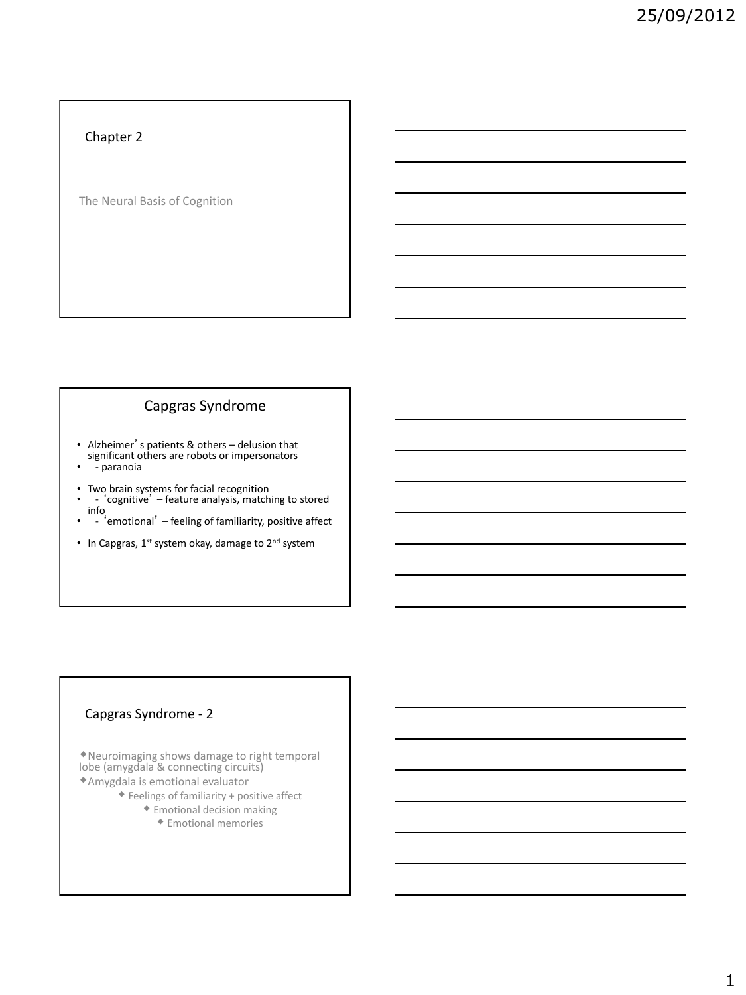## Chapter 2

The Neural Basis of Cognition

# Capgras Syndrome

• Alzheimer's patients & others – delusion that significant others are robots or impersonators

- - paranoia
- 
- Two brain systems for facial recognition - 'cognitive' feature analysis, matching to stored info • - 'emotional' – feeling of familiarity, positive affect
- 
- In Capgras, 1<sup>st</sup> system okay, damage to 2<sup>nd</sup> system

## Capgras Syndrome - 2

Neuroimaging shows damage to right temporal lobe (amygdala & connecting circuits) Amygdala is emotional evaluator

- $\blacklozenge$  Feelings of familiarity + positive affect
	- Emotional decision making
		- Emotional memories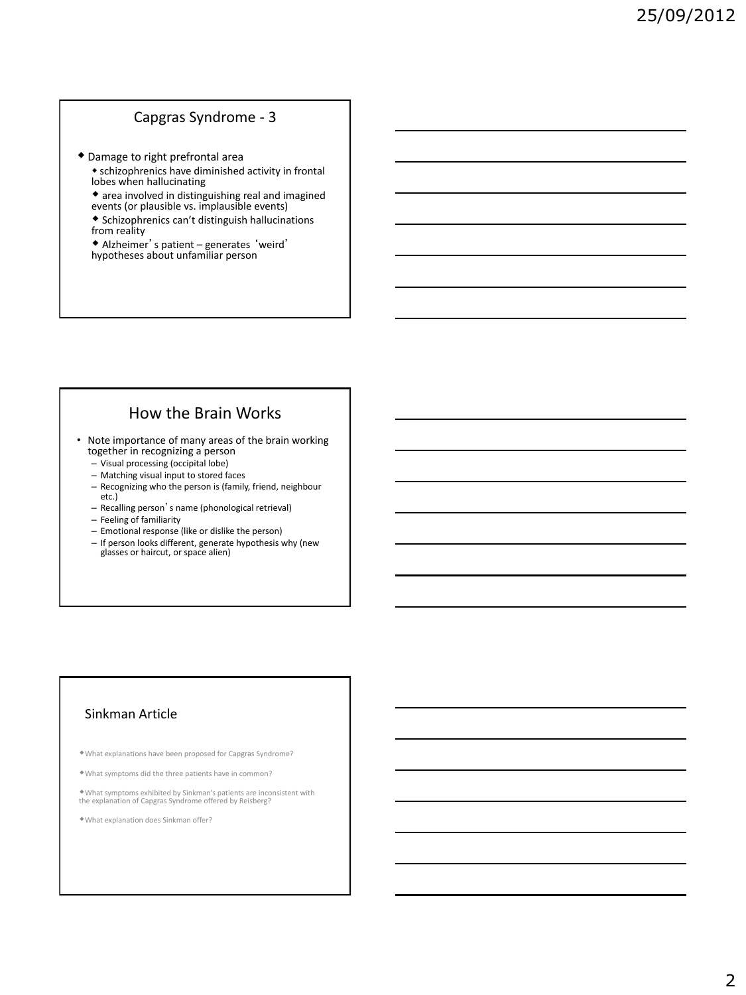# Capgras Syndrome - 3

- Damage to right prefrontal area
	- schizophrenics have diminished activity in frontal lobes when hallucinating
	- area involved in distinguishing real and imagined events (or plausible vs. implausible events)
	- Schizophrenics can't distinguish hallucinations from reality
	- Alzheimer's patient generates 'weird' hypotheses about unfamiliar person

# How the Brain Works

- Note importance of many areas of the brain working together in recognizing a person
	- Visual processing (occipital lobe)
	- Matching visual input to stored faces
	- Recognizing who the person is (family, friend, neighbour etc.)
	- Recalling person's name (phonological retrieval)
	- Feeling of familiarity
	- Emotional response (like or dislike the person)
	- If person looks different, generate hypothesis why (new glasses or haircut, or space alien)

## Sinkman Article

- What explanations have been proposed for Capgras Syndrome?
- What symptoms did the three patients have in common?

What symptoms exhibited by Sinkman's patients are inconsistent with the explanation of Capgras Syndrome offered by Reisberg?

What explanation does Sinkman offer?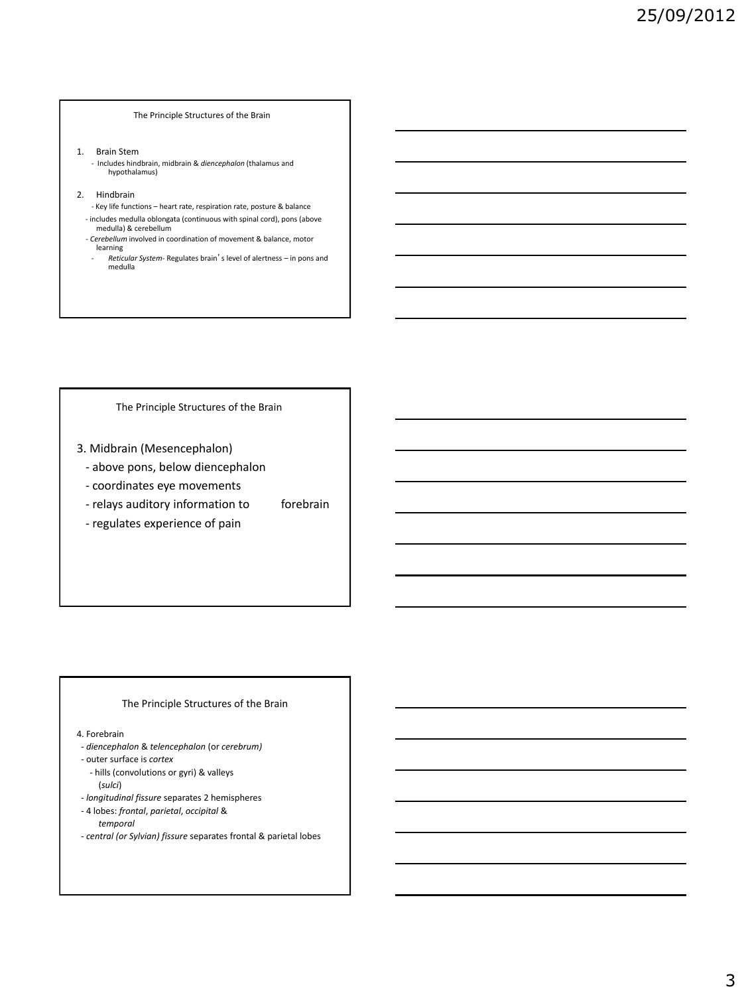#### The Principle Structures of the Brain

- 1. Brain Stem
	- Includes hindbrain, midbrain & *diencephalon* (thalamus and hypothalamus)
- 2. Hindbrain
	- Key life functions heart rate, respiration rate, posture & balance - includes medulla oblongata (continuous with spinal cord), pons (above
	- medulla) & cerebellum  *- Cerebellum* involved in coordination of movement & balance, motor
	- learning - *Reticular System*- Regulates brain's level of alertness – in pons and
	- medulla

The Principle Structures of the Brain

- 3. Midbrain (Mesencephalon)
	- above pons, below diencephalon
	- coordinates eye movements
	- relays auditory information to forebrain
	- regulates experience of pain

### The Principle Structures of the Brain

4. Forebrain

- *diencephalon* & *telencephalon* (or *cerebrum)*
- outer surface is *cortex*
- hills (convolutions or gyri) & valleys

(*sulci*)

- *longitudinal fissure* separates 2 hemispheres
- 4 lobes: *frontal*, *parietal*, *occipital* & *temporal*
- *central (or Sylvian) fissure* separates frontal & parietal lobes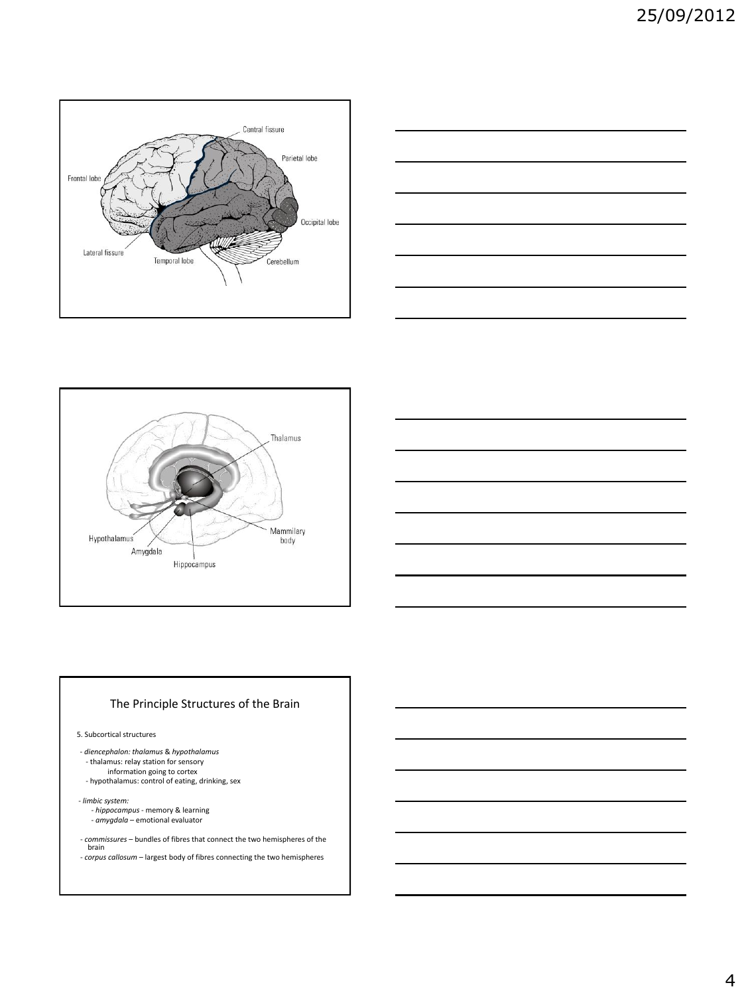







5. Subcortical structures

- *diencephalon: thalamus* & *hypothalamus* - thalamus: relay station for sensory information going to cortex - hypothalamus: control of eating, drinking, sex

- *limbic system:* 

- *- hippocampus* memory & learning - *amygdala* emotional evaluator
- *commissures* bundles of fibres that connect the two hemispheres of the brain
- *corpus callosum* largest body of fibres connecting the two hemispheres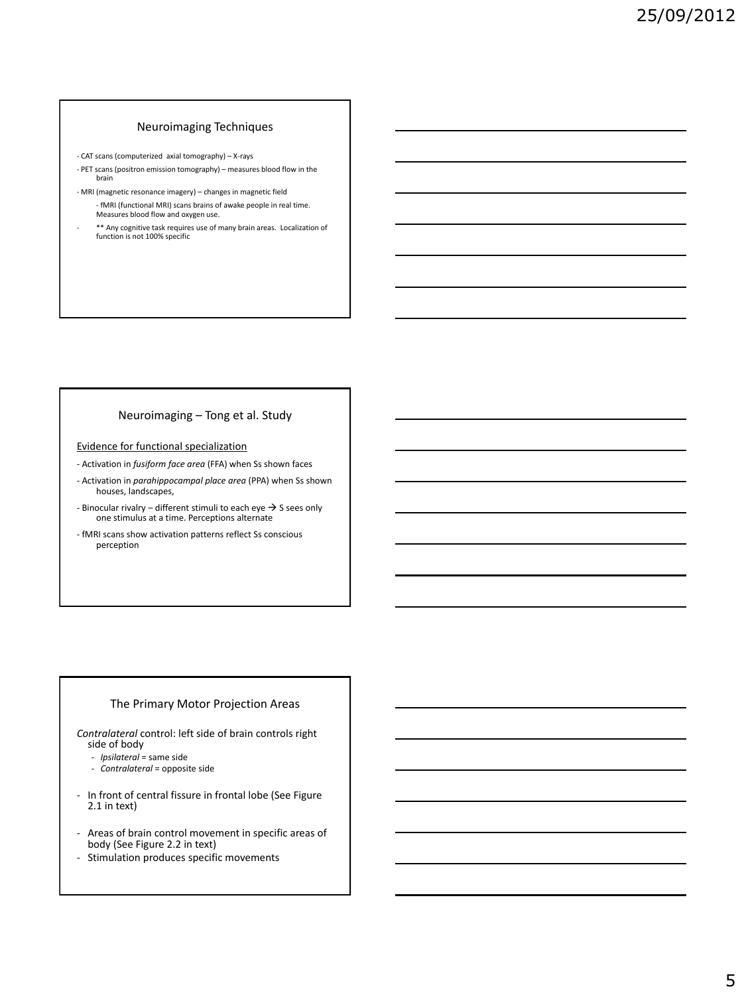### Neuroimaging Techniques

- CAT scans (computerized axial tomography) X-rays
- PET scans (positron emission tomography) measures blood flow in the brain
- MRI (magnetic resonance imagery) changes in magnetic field - fMRI (functional MRI) scans brains of awake people in real time. Measures blood flow and oxygen use.
- \*\* Any cognitive task requires use of many brain areas. Localization of function is not 100% specific

### Neuroimaging – Tong et al. Study

### Evidence for functional specialization

- Activation in *fusiform face area* (FFA) when Ss shown faces
- Activation in *parahippocampal place area* (PPA) when Ss shown houses, landscapes,
- Binocular rivalry different stimuli to each eye  $\rightarrow$  S sees only one stimulus at a time. Perceptions alternate
- fMRI scans show activation patterns reflect Ss conscious perception

#### The Primary Motor Projection Areas

*Contralateral* control: left side of brain controls right side of body

- *Ipsilateral* = same side
- *Contralateral* = opposite side
- In front of central fissure in frontal lobe (See Figure 2.1 in text)
- Areas of brain control movement in specific areas of body (See Figure 2.2 in text)
- Stimulation produces specific movements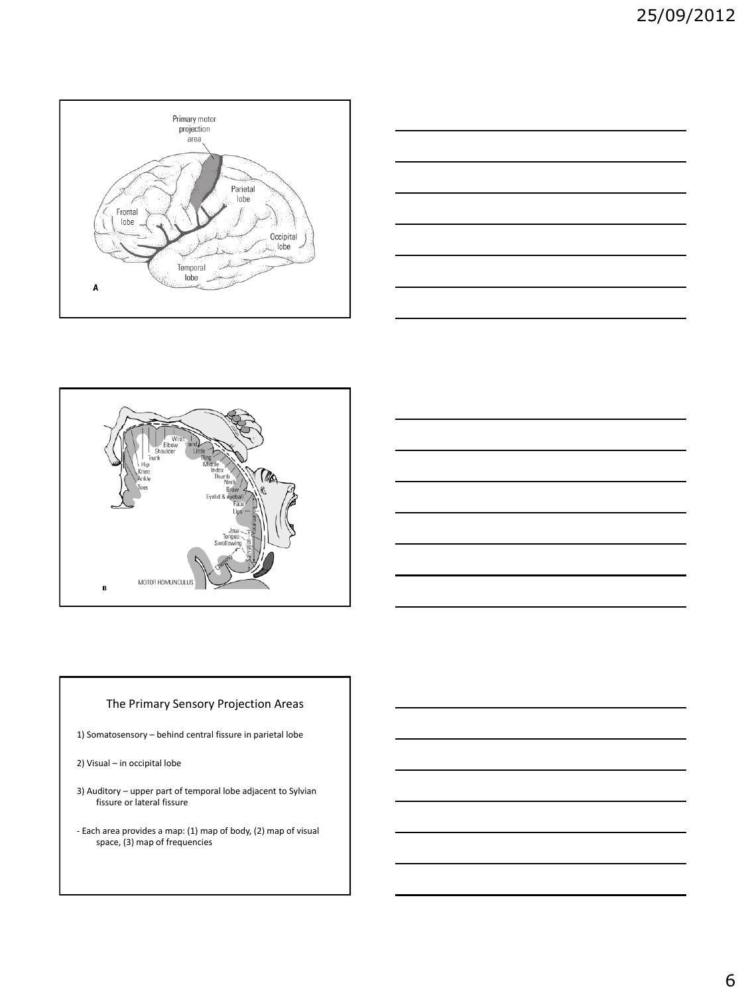





## The Primary Sensory Projection Areas

1) Somatosensory – behind central fissure in parietal lobe

- 2) Visual in occipital lobe
- 3) Auditory upper part of temporal lobe adjacent to Sylvian fissure or lateral fissure
- Each area provides a map: (1) map of body, (2) map of visual space, (3) map of frequencies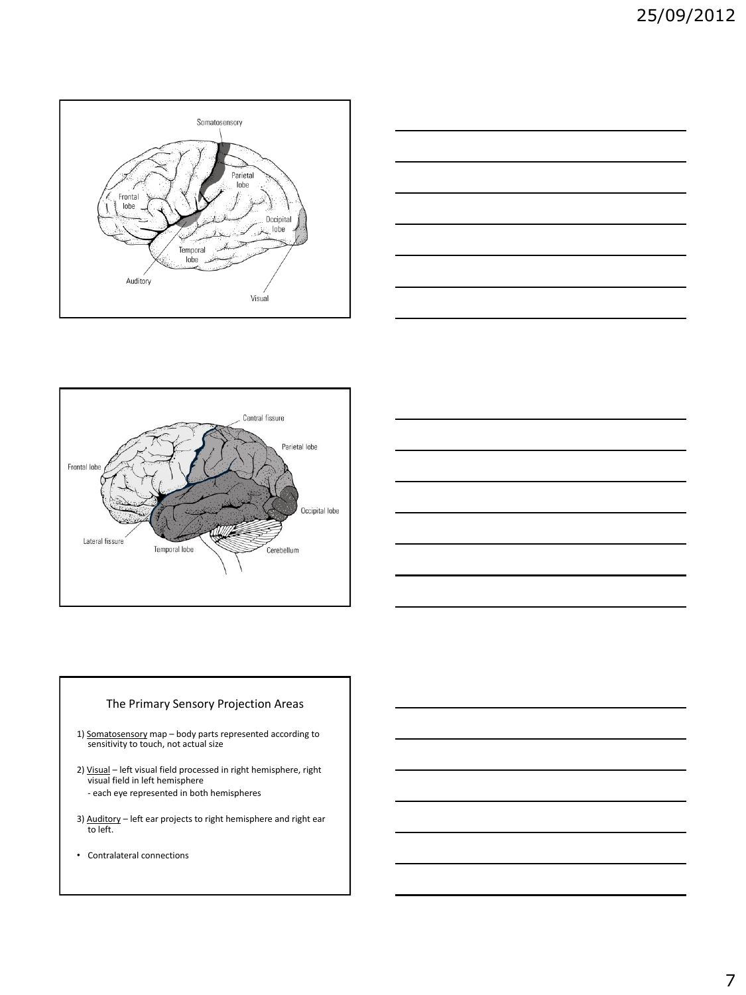







## The Primary Sensory Projection Areas

- 1) Somatosensory map body parts represented according to sensitivity to touch, not actual size
- 2) Visual left visual field processed in right hemisphere, right visual field in left hemisphere - each eye represented in both hemispheres
- 3) Auditory left ear projects to right hemisphere and right ear to left.
- Contralateral connections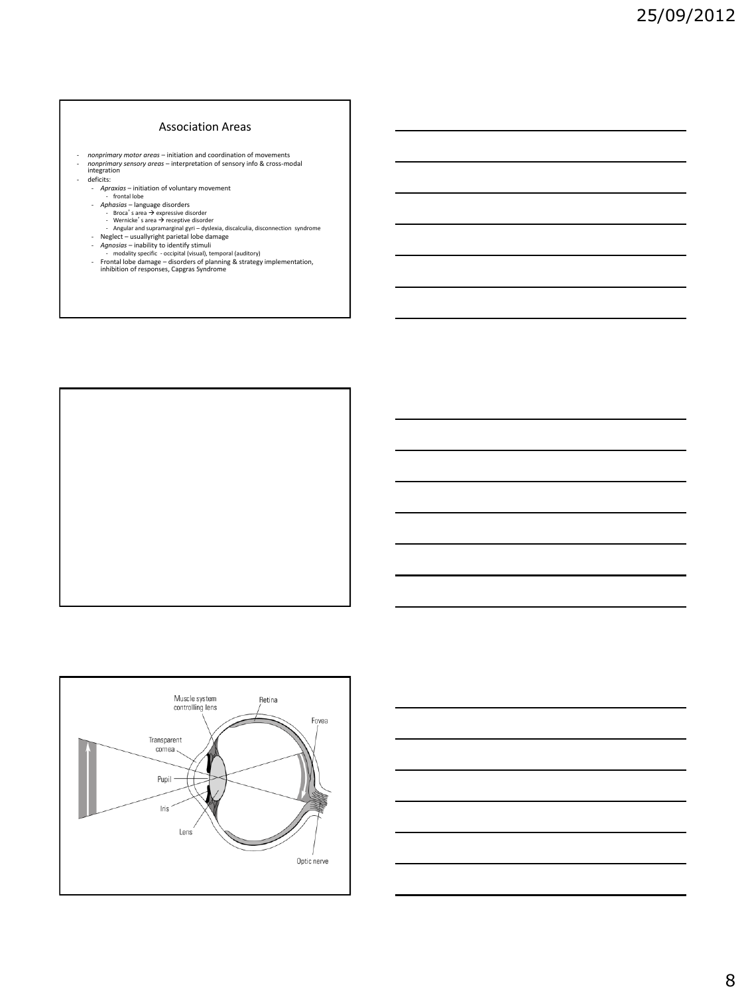### Association Areas

- 
- *nonprimary motor areas –* initiation and coordination of movements<br>- *nonprimary sensory areas –* interpretation of sensory info & cross-modal<br>- ideficits:<br>- deficits:
- -
	-
	-
	-
	- Aproxias initiation of voluntary movement<br>
	frotal lobe<br>
	Aphosias language disorders<br>
	Broca's area → expressive disorder<br>
	Wernicke's area → receptive disorder<br>
	Angular and supramarginal gyri dyslexia, dis
	-
	-
	-



Muscle system<br>controlling lens

Transparent  $cornea$ 

Pupil

 $\sf{Iris}$ 

Lens

Retina

Fovea

Optic nerve

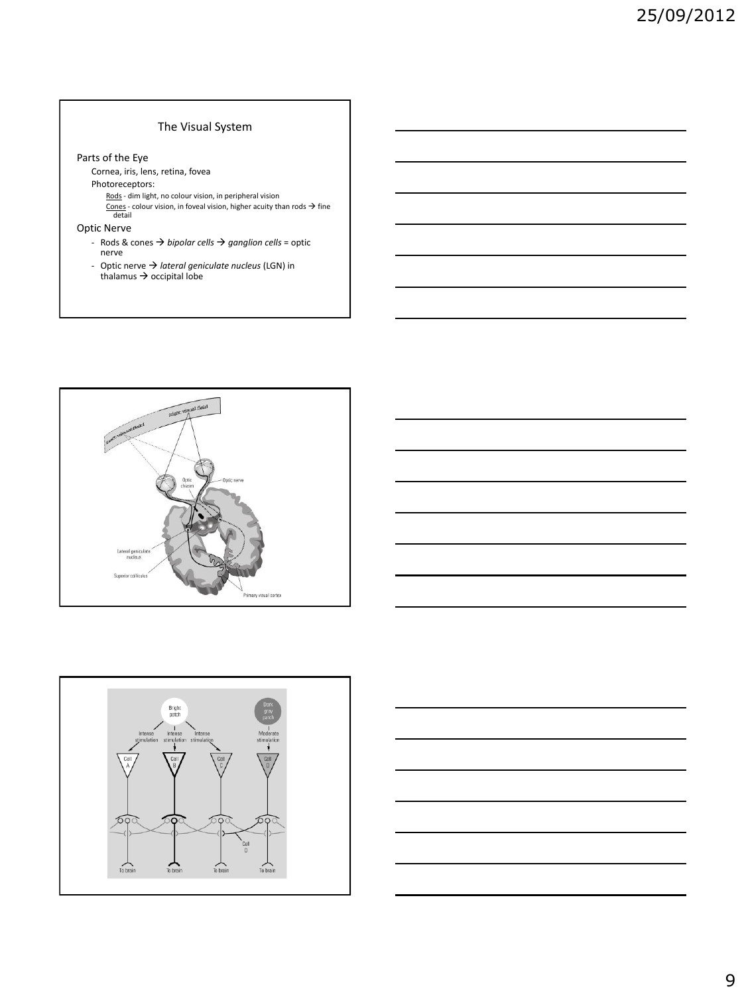### The Visual System

#### Parts of the Eye

Cornea, iris, lens, retina, fovea

- Photoreceptors:<br>Rods dim light, no colour vision, in peripheral vision
	- <u>Rods</u> dim light, no colour vision, in peripheral vision<br><u>Cones</u> colour vision, in foveal vision, higher acuity than rods → fine<br>detail
- Optic Nerve
	- Rods & cones *bipolar cells ganglion cells* = optic nerve
	- Optic nerve *lateral geniculate nucleus* (LGN) in  $thalamus \rightarrow occipital lobe$







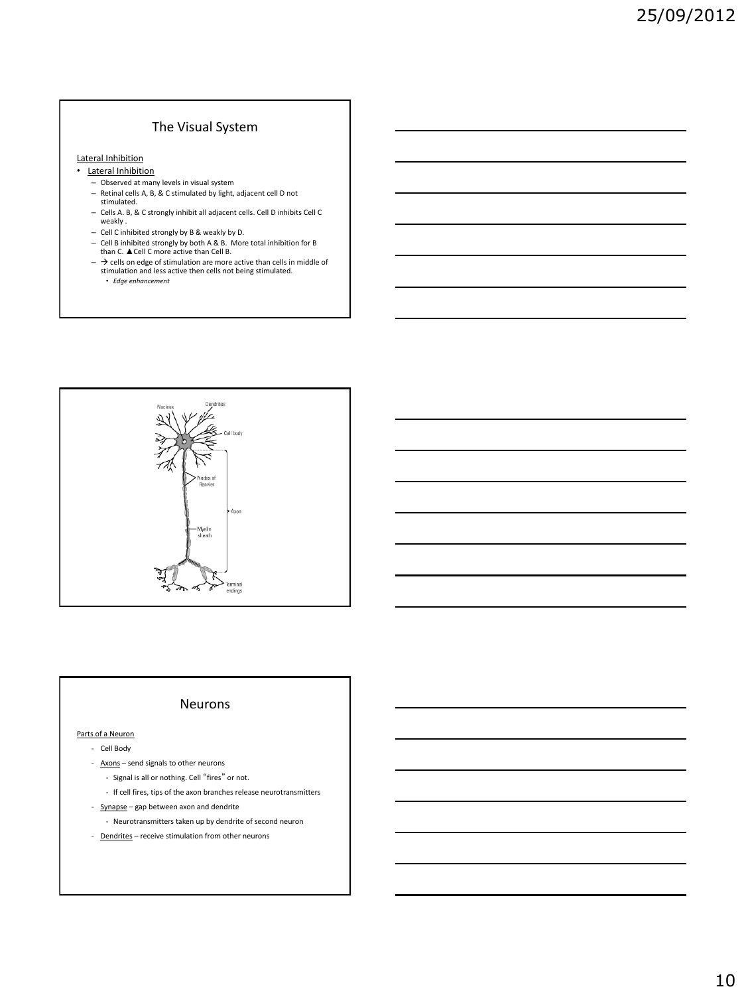# The Visual System

Lateral Inhibition

- Lateral Inhibition
	- Observed at many levels in visual system
	- Retinal cells A, B, & C stimulated by light, adjacent cell D not stimulated.
	- Cells A. B, & C strongly inhibit all adjacent cells. Cell D inhibits Cell C weakly .
	- Cell C inhibited strongly by B & weakly by D.
	- Cell B inhibited strongly by both A & B. More total inhibition for B than C. ▲Cell C more active than Cell B.
	- $\rightarrow$  cells on edge of stimulation are more active than cells in middle of stimulation and less active then cells not being stimulated. • *Edge enhancement*



### Neurons

#### Parts of a Neuron

- Cell Body
- Axons send signals to other neurons
	- Signal is all or nothing. Cell "fires" or not.
	- If cell fires, tips of the axon branches release neurotransmitters
- Synapse gap between axon and dendrite
	- Neurotransmitters taken up by dendrite of second neuron
- Dendrites receive stimulation from other neurons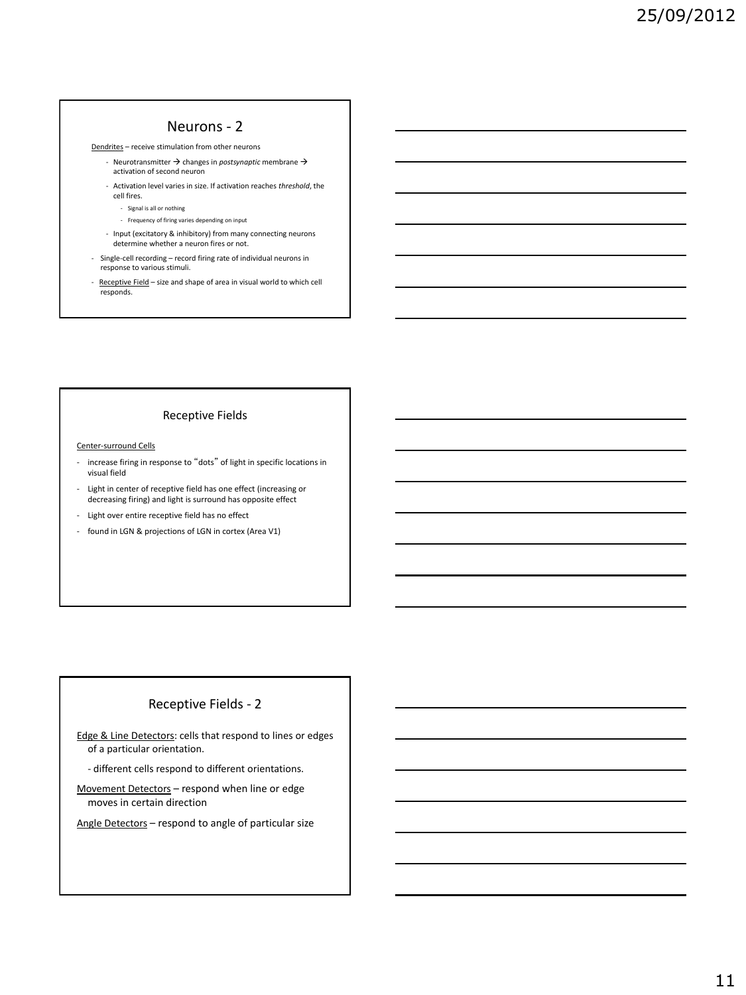## Neurons - 2

Dendrites – receive stimulation from other neurons

- Neurotransmitter  $\rightarrow$  changes in *postsynaptic* membrane  $\rightarrow$ activation of second neuron
- Activation level varies in size. If activation reaches *threshold*, the cell fires.
	- Signal is all or nothing
	- Frequency of firing varies depending on input
- Input (excitatory & inhibitory) from many connecting neurons determine whether a neuron fires or not.
- Single-cell recording record firing rate of individual neurons in response to various stimuli.
- Receptive Field size and shape of area in visual world to which cell responds.

### Receptive Fields

#### Center-surround Cells

- increase firing in response to "dots" of light in specific locations in visual field
- Light in center of receptive field has one effect (increasing or decreasing firing) and light is surround has opposite effect
- Light over entire receptive field has no effect
- found in LGN & projections of LGN in cortex (Area V1)

## Receptive Fields - 2

Edge & Line Detectors: cells that respond to lines or edges of a particular orientation.

- different cells respond to different orientations.

Movement Detectors – respond when line or edge moves in certain direction

Angle Detectors – respond to angle of particular size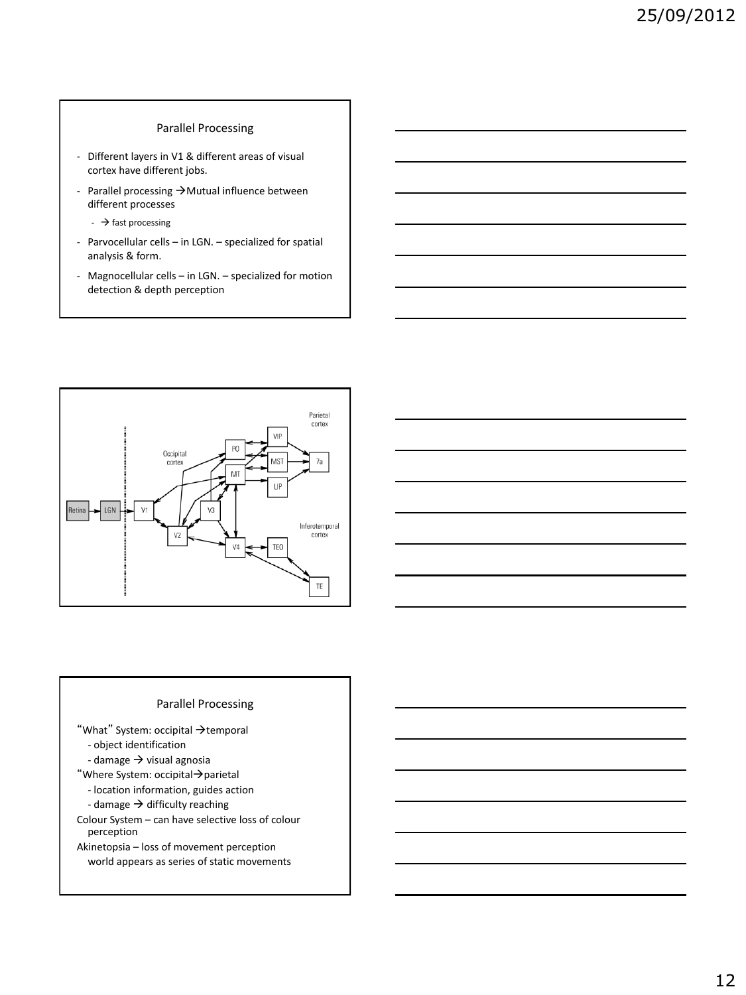### Parallel Processing

- Different layers in V1 & different areas of visual cortex have different jobs.
- Parallel processing  $\rightarrow$  Mutual influence between different processes
	- $\rightarrow$  fast processing
- Parvocellular cells in LGN. specialized for spatial analysis & form.
- Magnocellular cells in LGN. specialized for motion detection & depth perception



### Parallel Processing

"What" System: occipital  $\rightarrow$  temporal - object identification

- damage  $\rightarrow$  visual agnosia
- "Where System: occipital $\rightarrow$ parietal
	- location information, guides action
	- damage  $\rightarrow$  difficulty reaching

Colour System – can have selective loss of colour perception

Akinetopsia – loss of movement perception world appears as series of static movements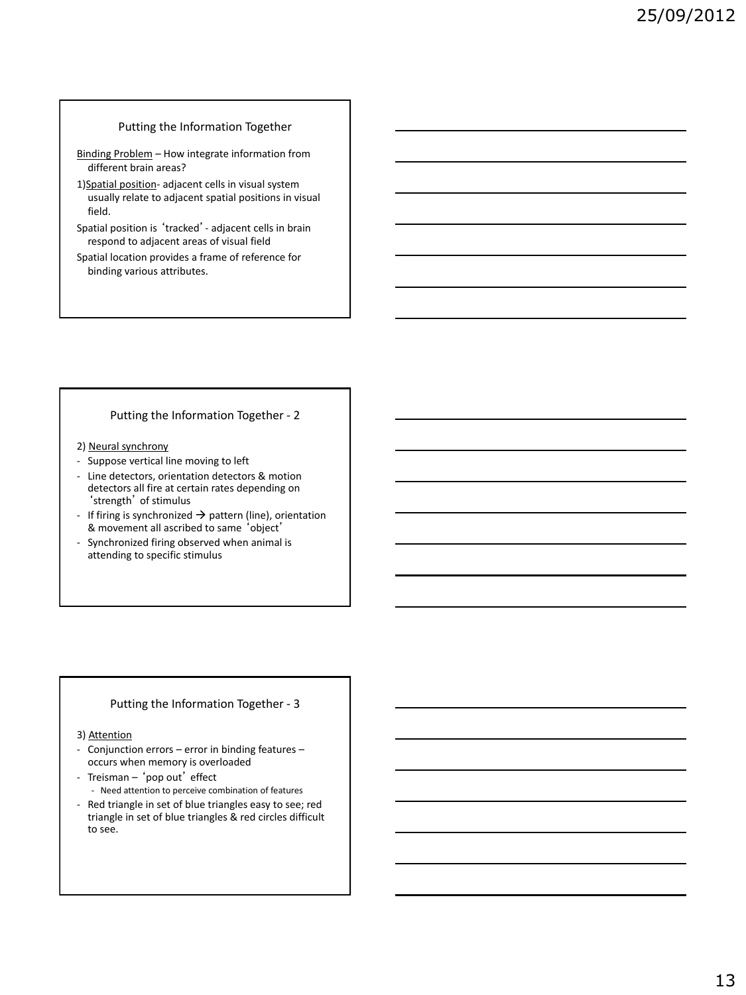### Putting the Information Together

- Binding Problem How integrate information from different brain areas?
- 1)Spatial position- adjacent cells in visual system usually relate to adjacent spatial positions in visual field.
- Spatial position is 'tracked'- adjacent cells in brain respond to adjacent areas of visual field
- Spatial location provides a frame of reference for binding various attributes.

### Putting the Information Together - 2

### 2) Neural synchrony

- Suppose vertical line moving to left
- Line detectors, orientation detectors & motion detectors all fire at certain rates depending on 'strength' of stimulus
- If firing is synchronized  $\rightarrow$  pattern (line), orientation & movement all ascribed to same 'object'
- Synchronized firing observed when animal is attending to specific stimulus

### Putting the Information Together - 3

#### 3) Attention

- Conjunction errors error in binding features occurs when memory is overloaded
- Treisman 'pop out' effect
	- Need attention to perceive combination of features
- Red triangle in set of blue triangles easy to see; red triangle in set of blue triangles & red circles difficult to see.